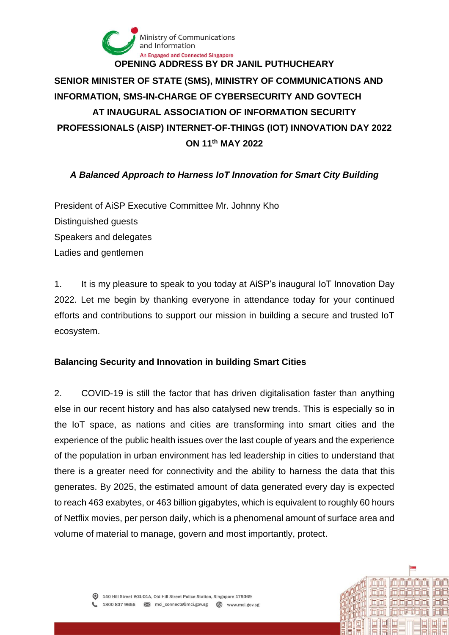

# **SENIOR MINISTER OF STATE (SMS), MINISTRY OF COMMUNICATIONS AND INFORMATION, SMS-IN-CHARGE OF CYBERSECURITY AND GOVTECH AT INAUGURAL ASSOCIATION OF INFORMATION SECURITY PROFESSIONALS (AISP) INTERNET-OF-THINGS (IOT) INNOVATION DAY 2022 ON 11th MAY 2022**

### *A Balanced Approach to Harness IoT Innovation for Smart City Building*

President of AiSP Executive Committee Mr. Johnny Kho Distinguished guests Speakers and delegates Ladies and gentlemen

1. It is my pleasure to speak to you today at AiSP's inaugural IoT Innovation Day 2022. Let me begin by thanking everyone in attendance today for your continued efforts and contributions to support our mission in building a secure and trusted IoT ecosystem.

### **Balancing Security and Innovation in building Smart Cities**

2. COVID-19 is still the factor that has driven digitalisation faster than anything else in our recent history and has also catalysed new trends. This is especially so in the IoT space, as nations and cities are transforming into smart cities and the experience of the public health issues over the last couple of years and the experience of the population in urban environment has led leadership in cities to understand that there is a greater need for connectivity and the ability to harness the data that this generates. By 2025, the estimated amount of data generated every day is expected to reach 463 exabytes, or 463 billion gigabytes, which is equivalent to roughly 60 hours of Netflix movies, per person daily, which is a phenomenal amount of surface area and volume of material to manage, govern and most importantly, protect.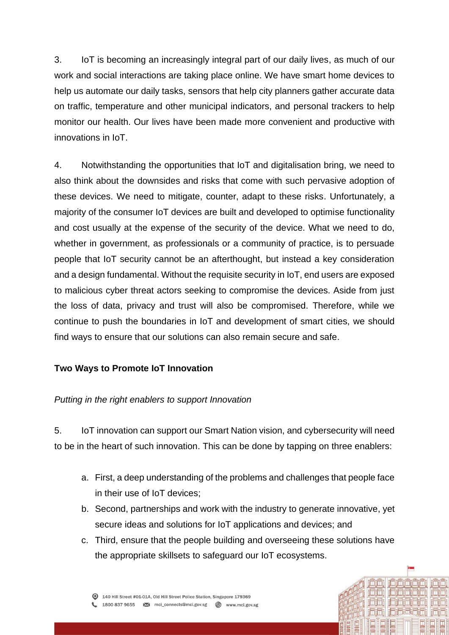3. IoT is becoming an increasingly integral part of our daily lives, as much of our work and social interactions are taking place online. We have smart home devices to help us automate our daily tasks, sensors that help city planners gather accurate data on traffic, temperature and other municipal indicators, and personal trackers to help monitor our health. Our lives have been made more convenient and productive with innovations in IoT.

4. Notwithstanding the opportunities that IoT and digitalisation bring, we need to also think about the downsides and risks that come with such pervasive adoption of these devices. We need to mitigate, counter, adapt to these risks. Unfortunately, a majority of the consumer IoT devices are built and developed to optimise functionality and cost usually at the expense of the security of the device. What we need to do, whether in government, as professionals or a community of practice, is to persuade people that IoT security cannot be an afterthought, but instead a key consideration and a design fundamental. Without the requisite security in IoT, end users are exposed to malicious cyber threat actors seeking to compromise the devices. Aside from just the loss of data, privacy and trust will also be compromised. Therefore, while we continue to push the boundaries in IoT and development of smart cities, we should find ways to ensure that our solutions can also remain secure and safe.

### **Two Ways to Promote IoT Innovation**

### *Putting in the right enablers to support Innovation*

5. IoT innovation can support our Smart Nation vision, and cybersecurity will need to be in the heart of such innovation. This can be done by tapping on three enablers:

- a. First, a deep understanding of the problems and challenges that people face in their use of IoT devices;
- b. Second, partnerships and work with the industry to generate innovative, yet secure ideas and solutions for IoT applications and devices; and
- c. Third, ensure that the people building and overseeing these solutions have the appropriate skillsets to safeguard our IoT ecosystems.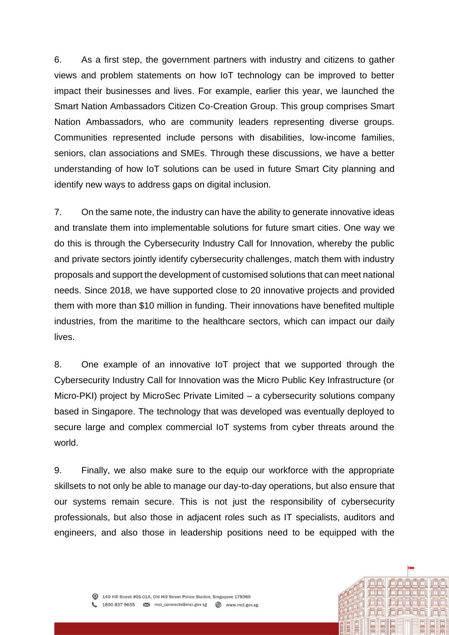6. As a first step, the government partners with industry and citizens to gather views and problem statements on how IoT technology can be improved to better impact their businesses and lives. For example, earlier this year, we launched the Smart Nation Ambassadors Citizen Co-Creation Group. This group comprises Smart Nation Ambassadors, who are community leaders representing diverse groups. Communities represented include persons with disabilities, low-income families, seniors, clan associations and SMEs. Through these discussions, we have a better understanding of how IoT solutions can be used in future Smart City planning and identify new ways to address gaps on digital inclusion.

7. On the same note, the industry can have the ability to generate innovative ideas and translate them into implementable solutions for future smart cities. One way we do this is through the Cybersecurity Industry Call for Innovation, whereby the public and private sectors jointly identify cybersecurity challenges, match them with industry proposals and support the development of customised solutions that can meet national needs. Since 2018, we have supported close to 20 innovative projects and provided them with more than \$10 million in funding. Their innovations have benefited multiple industries, from the maritime to the healthcare sectors, which can impact our daily lives.

8. One example of an innovative IoT project that we supported through the Cybersecurity Industry Call for Innovation was the Micro Public Key Infrastructure (or Micro-PKI) project by MicroSec Private Limited – a cybersecurity solutions company based in Singapore. The technology that was developed was eventually deployed to secure large and complex commercial IoT systems from cyber threats around the world.

9. Finally, we also make sure to the equip our workforce with the appropriate skillsets to not only be able to manage our day-to-day operations, but also ensure that our systems remain secure. This is not just the responsibility of cybersecurity professionals, but also those in adjacent roles such as IT specialists, auditors and engineers, and also those in leadership positions need to be equipped with the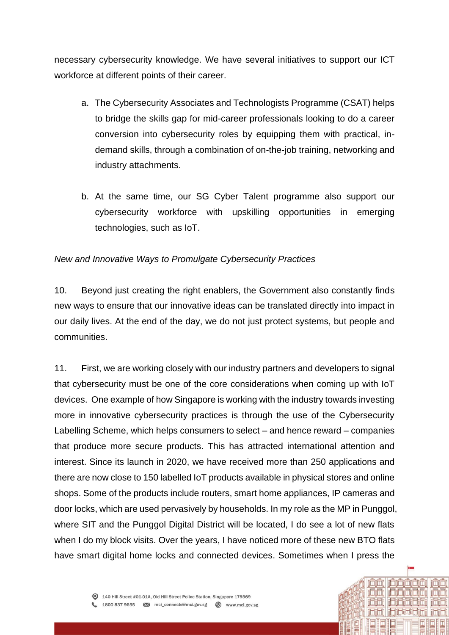necessary cybersecurity knowledge. We have several initiatives to support our ICT workforce at different points of their career.

- a. The Cybersecurity Associates and Technologists Programme (CSAT) helps to bridge the skills gap for mid-career professionals looking to do a career conversion into cybersecurity roles by equipping them with practical, indemand skills, through a combination of on-the-job training, networking and industry attachments.
- b. At the same time, our SG Cyber Talent programme also support our cybersecurity workforce with upskilling opportunities in emerging technologies, such as IoT.

### *New and Innovative Ways to Promulgate Cybersecurity Practices*

10. Beyond just creating the right enablers, the Government also constantly finds new ways to ensure that our innovative ideas can be translated directly into impact in our daily lives. At the end of the day, we do not just protect systems, but people and communities.

11. First, we are working closely with our industry partners and developers to signal that cybersecurity must be one of the core considerations when coming up with IoT devices. One example of how Singapore is working with the industry towards investing more in innovative cybersecurity practices is through the use of the Cybersecurity Labelling Scheme, which helps consumers to select – and hence reward – companies that produce more secure products. This has attracted international attention and interest. Since its launch in 2020, we have received more than 250 applications and there are now close to 150 labelled IoT products available in physical stores and online shops. Some of the products include routers, smart home appliances, IP cameras and door locks, which are used pervasively by households. In my role as the MP in Punggol, where SIT and the Punggol Digital District will be located, I do see a lot of new flats when I do my block visits. Over the years, I have noticed more of these new BTO flats have smart digital home locks and connected devices. Sometimes when I press the

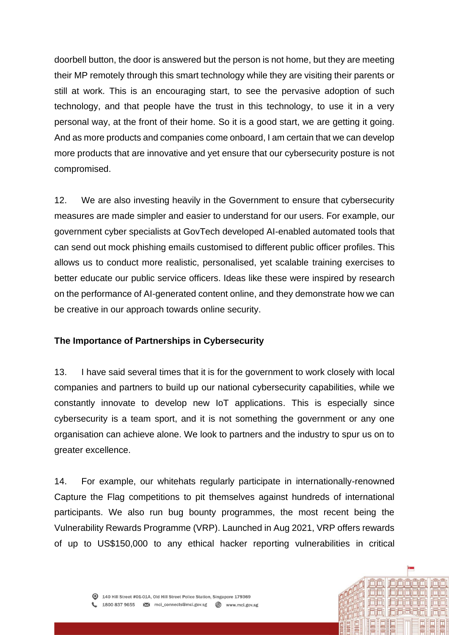doorbell button, the door is answered but the person is not home, but they are meeting their MP remotely through this smart technology while they are visiting their parents or still at work. This is an encouraging start, to see the pervasive adoption of such technology, and that people have the trust in this technology, to use it in a very personal way, at the front of their home. So it is a good start, we are getting it going. And as more products and companies come onboard, I am certain that we can develop more products that are innovative and yet ensure that our cybersecurity posture is not compromised.

12. We are also investing heavily in the Government to ensure that cybersecurity measures are made simpler and easier to understand for our users. For example, our government cyber specialists at GovTech developed AI-enabled automated tools that can send out mock phishing emails customised to different public officer profiles. This allows us to conduct more realistic, personalised, yet scalable training exercises to better educate our public service officers. Ideas like these were inspired by research on the performance of AI-generated content online, and they demonstrate how we can be creative in our approach towards online security.

### **The Importance of Partnerships in Cybersecurity**

13. I have said several times that it is for the government to work closely with local companies and partners to build up our national cybersecurity capabilities, while we constantly innovate to develop new IoT applications. This is especially since cybersecurity is a team sport, and it is not something the government or any one organisation can achieve alone. We look to partners and the industry to spur us on to greater excellence.

14. For example, our whitehats regularly participate in internationally-renowned Capture the Flag competitions to pit themselves against hundreds of international participants. We also run bug bounty programmes, the most recent being the Vulnerability Rewards Programme (VRP). Launched in Aug 2021, VRP offers rewards of up to US\$150,000 to any ethical hacker reporting vulnerabilities in critical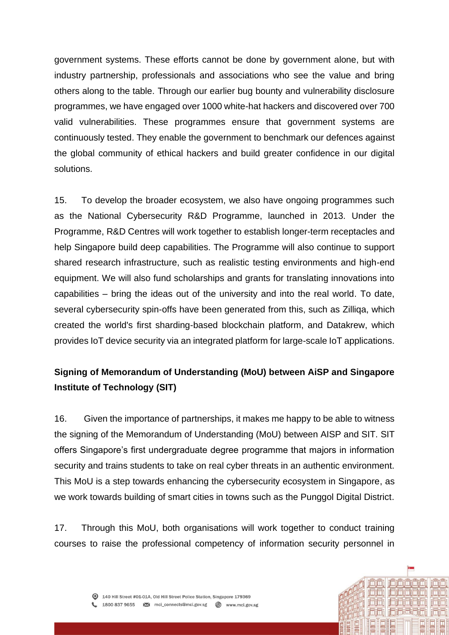government systems. These efforts cannot be done by government alone, but with industry partnership, professionals and associations who see the value and bring others along to the table. Through our earlier bug bounty and vulnerability disclosure programmes, we have engaged over 1000 white-hat hackers and discovered over 700 valid vulnerabilities. These programmes ensure that government systems are continuously tested. They enable the government to benchmark our defences against the global community of ethical hackers and build greater confidence in our digital solutions.

15. To develop the broader ecosystem, we also have ongoing programmes such as the National Cybersecurity R&D Programme, launched in 2013. Under the Programme, R&D Centres will work together to establish longer-term receptacles and help Singapore build deep capabilities. The Programme will also continue to support shared research infrastructure, such as realistic testing environments and high-end equipment. We will also fund scholarships and grants for translating innovations into capabilities – bring the ideas out of the university and into the real world. To date, several cybersecurity spin-offs have been generated from this, such as Zilliqa, which created the world's first sharding-based blockchain platform, and Datakrew, which provides IoT device security via an integrated platform for large-scale IoT applications.

## **Signing of Memorandum of Understanding (MoU) between AiSP and Singapore Institute of Technology (SIT)**

16. Given the importance of partnerships, it makes me happy to be able to witness the signing of the Memorandum of Understanding (MoU) between AISP and SIT. SIT offers Singapore's first undergraduate degree programme that majors in information security and trains students to take on real cyber threats in an authentic environment. This MoU is a step towards enhancing the cybersecurity ecosystem in Singapore, as we work towards building of smart cities in towns such as the Punggol Digital District.

17. Through this MoU, both organisations will work together to conduct training courses to raise the professional competency of information security personnel in